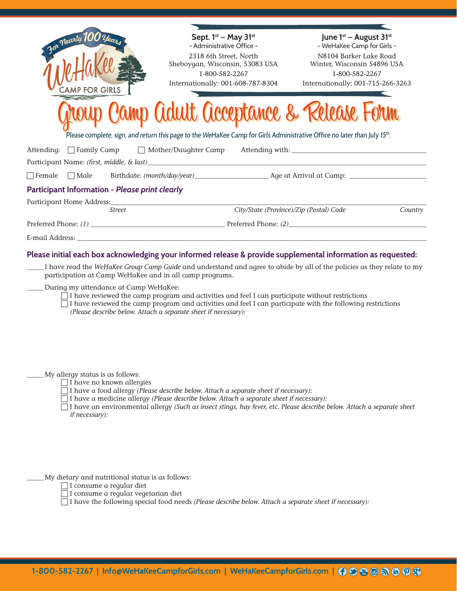| For Nearly 100 years                                                                                                                                                                                                                                                                                                                                                                                                                                                                                                        | Sept. 1st - May 31st<br>- Administrative Office -                                                                                                                             | June 1st - August 31st<br>- WeHaKee Camp for Girls - |         |  |
|-----------------------------------------------------------------------------------------------------------------------------------------------------------------------------------------------------------------------------------------------------------------------------------------------------------------------------------------------------------------------------------------------------------------------------------------------------------------------------------------------------------------------------|-------------------------------------------------------------------------------------------------------------------------------------------------------------------------------|------------------------------------------------------|---------|--|
|                                                                                                                                                                                                                                                                                                                                                                                                                                                                                                                             | 2318 6th Street, North                                                                                                                                                        | N8104 Barker Lake Road                               |         |  |
|                                                                                                                                                                                                                                                                                                                                                                                                                                                                                                                             | Sheboygan, Wisconsin, 53083 USA<br>1-800-582-2267                                                                                                                             | Winter, Wisconsin 54896 USA<br>1-800-582-2267        |         |  |
| <b>FOR GIRLS</b>                                                                                                                                                                                                                                                                                                                                                                                                                                                                                                            | Internationally: 001-608-787-8304                                                                                                                                             | Internationally: 001-715-266-3263                    |         |  |
|                                                                                                                                                                                                                                                                                                                                                                                                                                                                                                                             | Camp Adult Acceptance & Release Form<br>Please complete, sign, and return this page to the WeHaKee Camp for Girls Administrative Office no later than July 15 <sup>th</sup> . |                                                      |         |  |
| Attending: □ Family Camp<br>Mother/Daughter Camp                                                                                                                                                                                                                                                                                                                                                                                                                                                                            |                                                                                                                                                                               |                                                      |         |  |
|                                                                                                                                                                                                                                                                                                                                                                                                                                                                                                                             |                                                                                                                                                                               |                                                      |         |  |
|                                                                                                                                                                                                                                                                                                                                                                                                                                                                                                                             |                                                                                                                                                                               |                                                      |         |  |
| Participant Information - Please print clearly                                                                                                                                                                                                                                                                                                                                                                                                                                                                              |                                                                                                                                                                               |                                                      |         |  |
| <b>Street</b>                                                                                                                                                                                                                                                                                                                                                                                                                                                                                                               | City/State (Province)/Zip (Postal) Code                                                                                                                                       |                                                      | Country |  |
| Preferred Phone: (1) Preferred Phone: (2)                                                                                                                                                                                                                                                                                                                                                                                                                                                                                   |                                                                                                                                                                               |                                                      |         |  |
|                                                                                                                                                                                                                                                                                                                                                                                                                                                                                                                             |                                                                                                                                                                               |                                                      |         |  |
| Please initial each box acknowledging your informed release & provide supplemental information as requested:                                                                                                                                                                                                                                                                                                                                                                                                                |                                                                                                                                                                               |                                                      |         |  |
| I have read the WeHaKee Group Camp Guide and understand and agree to abide by all of the policies as they relate to my<br>participation at Camp WeHaKee and in all camp programs.<br>During my attendance at Camp WeHaKee:<br>$\Box$ I have reviewed the camp program and activities and feel I can participate without restrictions<br>$\Box$ I have reviewed the camp program and activities and feel I can participate with the following restrictions<br>(Please describe below. Attach a separate sheet if necessary): |                                                                                                                                                                               |                                                      |         |  |
| My allergy status is as follows:<br>$\Box$ I have no known allergies<br>$\Box$ I have a food allergy (Please describe below. Attach a separate sheet if necessary):<br>$\Box$ I have a medicine allergy (Please describe below. Attach a separate sheet if necessary):<br>$\Box$ I have an environmental allergy (Such as insect stings, hay fever, etc. Please describe below. Attach a separate sheet<br>if necessary):                                                                                                   |                                                                                                                                                                               |                                                      |         |  |
| My dietary and nutritional status is as follows:<br>I consume a regular diet<br>$\Box$ I consume a regular vegetarian diet                                                                                                                                                                                                                                                                                                                                                                                                  | $\Box$ I have the following special food needs (Please describe below. Attach a separate sheet if necessary):                                                                 |                                                      |         |  |